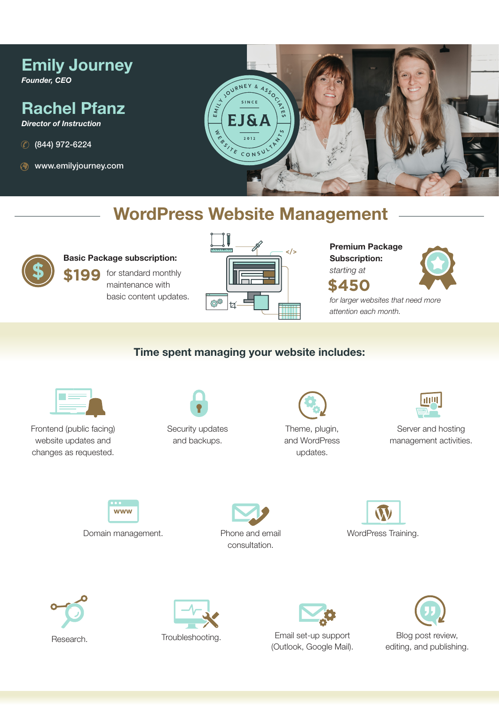# Emily Journey

*Founder, CEO*

## Rachel Pfanz

*Director of Instruction*

- (844) 972-6224
- www.emilyjourney.com



## WordPress Website Management



#### Basic Package subscription:

maintenance with basic content updates.



Premium Package Subscription:



*for larger websites that need more attention each month.*

## Time spent managing your website includes:



Frontend (public facing) website updates and changes as requested.



Security updates and backups.



Theme, plugin, and WordPress updates.



Server and hosting management activities.

www

Domain management. Phone and email









Email set-up support

(Outlook, Google Mail).

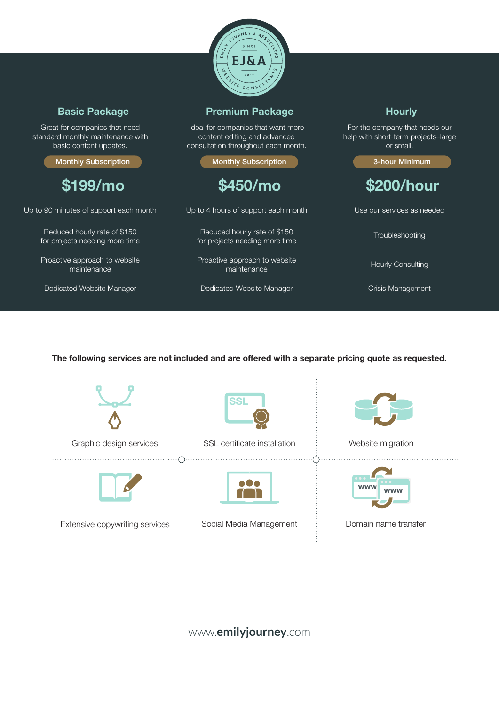

### Basic Package

Great for companies that need standard monthly maintenance with basic content updates.

Monthly Subscription

\$199/mo

Up to 90 minutes of support each month

Reduced hourly rate of \$150 for projects needing more time

Proactive approach to website maintenance

Dedicated Website Manager

#### Premium Package

Ideal for companies that want more content editing and advanced consultation throughout each month.

Monthly Subscription

## \$450/mo

Up to 4 hours of support each month

Reduced hourly rate of \$150 for projects needing more time

Proactive approach to website maintenance

Dedicated Website Manager

**Hourly** 

For the company that needs our help with short-term projects–large or small.

3-hour Minimum

## \$200/hour

Use our services as needed

**Troubleshooting** 

Hourly Consulting

Crisis Management

#### The following services are not included and are offered with a separate pricing quote as requested.





**پ**.

Extensive copywriting services  $\begin{array}{r} \vdots \\ \end{array}$  Social Media Management  $\begin{array}{r} \vdots \\ \end{array}$  Domain name transfer



Graphic design services  $\vdots$  SSL certificate installation  $\vdots$  Website migration





Ò



www.**emilyjourney**.com